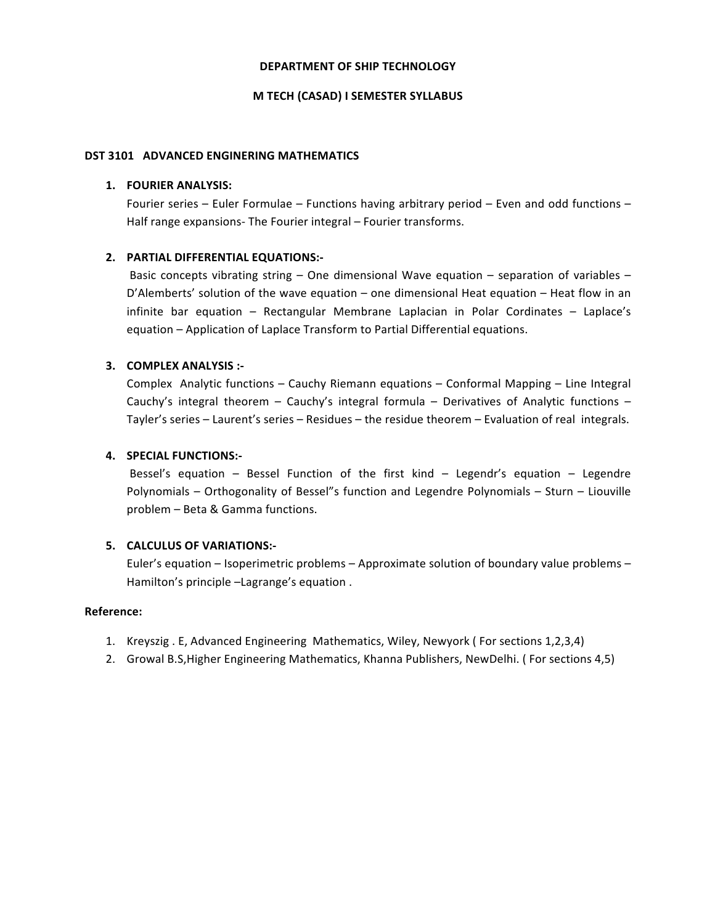### **DEPARTMENT OF SHIP TECHNOLOGY**

#### **M TECH (CASAD) I SEMESTER SYLLABUS**

#### DST 3101 ADVANCED ENGINERING MATHEMATICS

#### 1. **FOURIER ANALYSIS:**

Fourier series – Euler Formulae – Functions having arbitrary period – Even and odd functions – Half range expansions- The Fourier integral – Fourier transforms.

## **2. PARTIAL DIFFERENTIAL EQUATIONS:-**

Basic concepts vibrating string – One dimensional Wave equation – separation of variables – D'Alemberts' solution of the wave equation  $-$  one dimensional Heat equation  $-$  Heat flow in an infinite bar equation  $-$  Rectangular Membrane Laplacian in Polar Cordinates  $-$  Laplace's equation – Application of Laplace Transform to Partial Differential equations.

# **3. COMPLEX ANALYSIS :-**

Complex Analytic functions – Cauchy Riemann equations – Conformal Mapping – Line Integral Cauchy's integral theorem – Cauchy's integral formula – Derivatives of Analytic functions – Tayler's series - Laurent's series - Residues - the residue theorem - Evaluation of real integrals.

## **4. SPECIAL FUNCTIONS:-**

Bessel's equation – Bessel Function of the first kind – Legendr's equation – Legendre Polynomials – Orthogonality of Bessel"s function and Legendre Polynomials – Sturn – Liouville problem - Beta & Gamma functions.

## **5. CALCULUS OF VARIATIONS:-**

Euler's equation – Isoperimetric problems – Approximate solution of boundary value problems – Hamilton's principle -Lagrange's equation.

- 1. Kreyszig . E, Advanced Engineering Mathematics, Wiley, Newyork (For sections 1,2,3,4)
- 2. Growal B.S, Higher Engineering Mathematics, Khanna Publishers, NewDelhi. (For sections 4,5)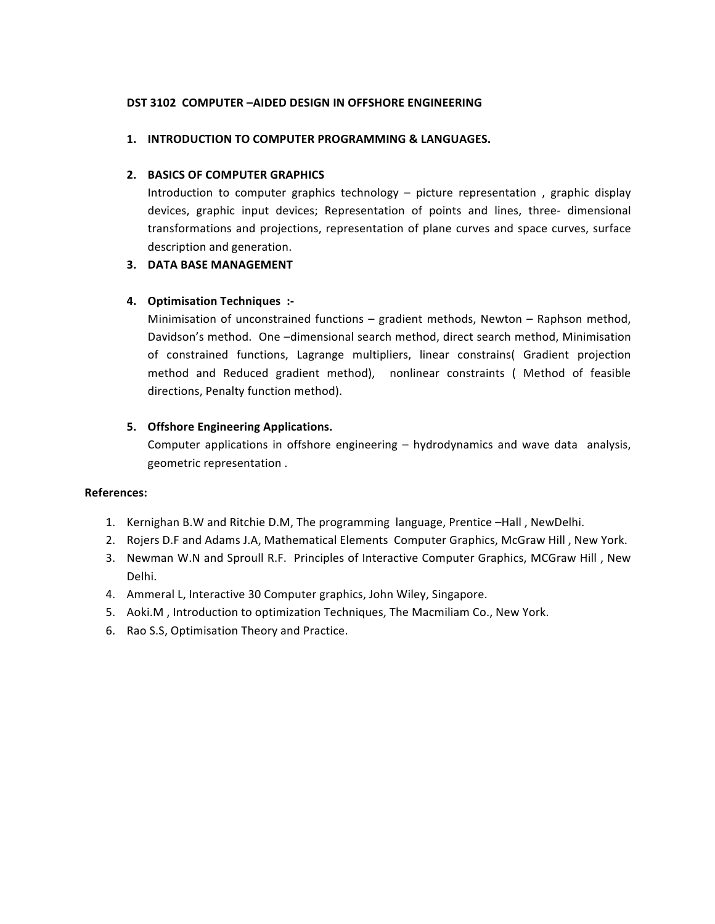# **DST 3102 COMPUTER -AIDED DESIGN IN OFFSHORE ENGINEERING**

# **1. INTRODUCTION TO COMPUTER PROGRAMMING & LANGUAGES.**

# **2. BASICS OF COMPUTER GRAPHICS**

Introduction to computer graphics technology  $-$  picture representation , graphic display devices, graphic input devices; Representation of points and lines, three- dimensional transformations and projections, representation of plane curves and space curves, surface description and generation.

# **3. DATA BASE MANAGEMENT**

# **4. Optimisation Techniques :-**

Minimisation of unconstrained functions  $-$  gradient methods, Newton  $-$  Raphson method, Davidson's method. One -dimensional search method, direct search method, Minimisation of constrained functions, Lagrange multipliers, linear constrains( Gradient projection method and Reduced gradient method), nonlinear constraints ( Method of feasible directions, Penalty function method).

# **5.** Offshore Engineering Applications.

Computer applications in offshore engineering – hydrodynamics and wave data analysis, geometric representation.

- 1. Kernighan B.W and Ritchie D.M, The programming language, Prentice -Hall, NewDelhi.
- 2. Rojers D.F and Adams J.A, Mathematical Elements Computer Graphics, McGraw Hill, New York.
- 3. Newman W.N and Sproull R.F. Principles of Interactive Computer Graphics, MCGraw Hill, New Delhi.
- 4. Ammeral L, Interactive 30 Computer graphics, John Wiley, Singapore.
- 5. Aoki.M, Introduction to optimization Techniques, The Macmiliam Co., New York.
- 6. Rao S.S, Optimisation Theory and Practice.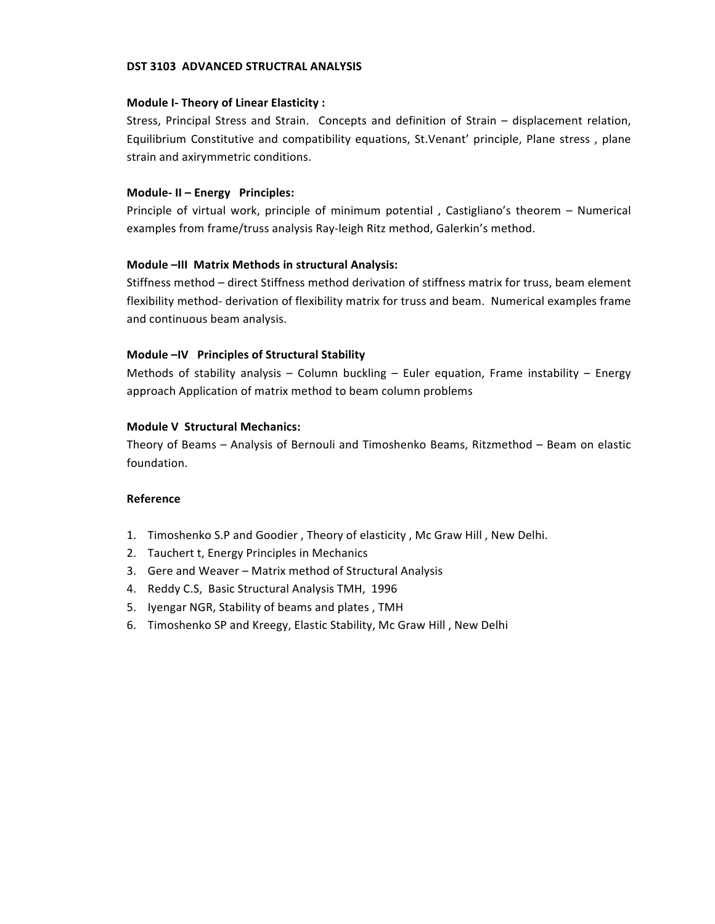## **DST 3103 ADVANCED STRUCTRAL ANALYSIS**

#### **Module I- Theory of Linear Elasticity :**

Stress, Principal Stress and Strain. Concepts and definition of Strain - displacement relation, Equilibrium Constitutive and compatibility equations, St.Venant' principle, Plane stress, plane strain and axirymmetric conditions.

#### **Module-II - Energy Principles:**

Principle of virtual work, principle of minimum potential, Castigliano's theorem - Numerical examples from frame/truss analysis Ray-leigh Ritz method, Galerkin's method.

#### **Module -III Matrix Methods in structural Analysis:**

Stiffness method – direct Stiffness method derivation of stiffness matrix for truss, beam element flexibility method- derivation of flexibility matrix for truss and beam. Numerical examples frame and continuous beam analysis.

## Module -IV Principles of Structural Stability

Methods of stability analysis – Column buckling – Euler equation, Frame instability – Energy approach Application of matrix method to beam column problems

#### **Module V Structural Mechanics:**

Theory of Beams – Analysis of Bernouli and Timoshenko Beams, Ritzmethod – Beam on elastic foundation.

## **Reference**

- 1. Timoshenko S.P and Goodier, Theory of elasticity, Mc Graw Hill, New Delhi.
- 2. Tauchert t, Energy Principles in Mechanics
- 3. Gere and Weaver Matrix method of Structural Analysis
- 4. Reddy C.S, Basic Structural Analysis TMH, 1996
- 5. Iyengar NGR, Stability of beams and plates, TMH
- 6. Timoshenko SP and Kreegy, Elastic Stability, Mc Graw Hill, New Delhi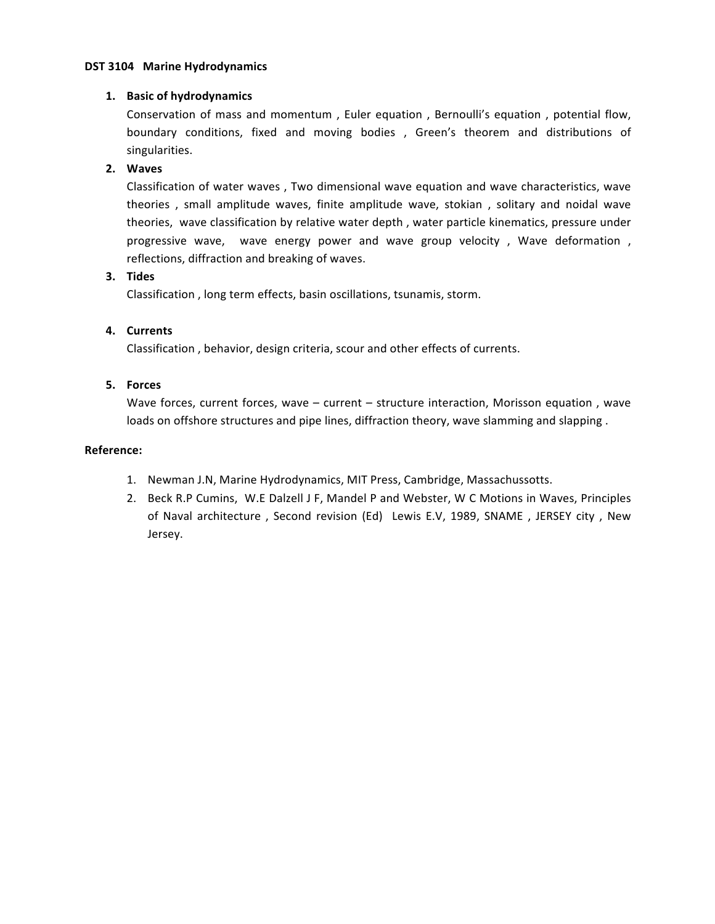## **DST 3104 Marine Hydrodynamics**

# **1. Basic of hydrodynamics**

Conservation of mass and momentum, Euler equation, Bernoulli's equation, potential flow, boundary conditions, fixed and moving bodies , Green's theorem and distributions of singularities.

# **2. Waves**

Classification of water waves, Two dimensional wave equation and wave characteristics, wave theories, small amplitude waves, finite amplitude wave, stokian, solitary and noidal wave theories, wave classification by relative water depth, water particle kinematics, pressure under progressive wave, wave energy power and wave group velocity, Wave deformation, reflections, diffraction and breaking of waves.

# **3. Tides**

Classification, long term effects, basin oscillations, tsunamis, storm.

# **4. Currents**

Classification, behavior, design criteria, scour and other effects of currents.

# **5. Forces**

Wave forces, current forces, wave  $-$  current  $-$  structure interaction, Morisson equation, wave loads on offshore structures and pipe lines, diffraction theory, wave slamming and slapping.

- 1. Newman J.N, Marine Hydrodynamics, MIT Press, Cambridge, Massachussotts.
- 2. Beck R.P Cumins, W.E Dalzell J F, Mandel P and Webster, W C Motions in Waves, Principles of Naval architecture , Second revision (Ed) Lewis E.V, 1989, SNAME , JERSEY city , New Jersey.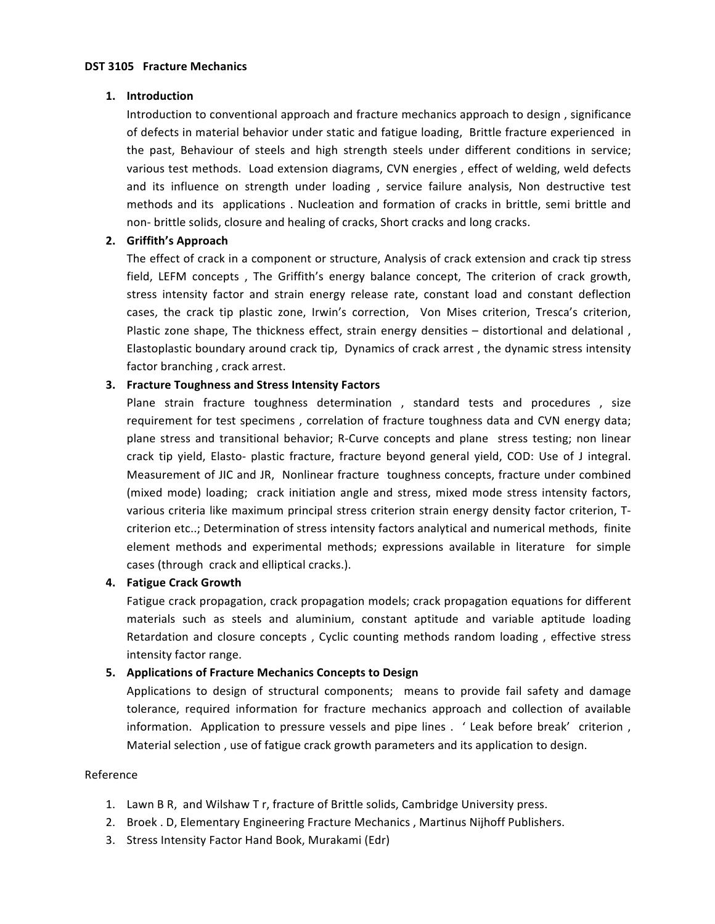## **1. Introduction**

Introduction to conventional approach and fracture mechanics approach to design, significance of defects in material behavior under static and fatigue loading, Brittle fracture experienced in the past, Behaviour of steels and high strength steels under different conditions in service; various test methods. Load extension diagrams, CVN energies, effect of welding, weld defects and its influence on strength under loading , service failure analysis, Non destructive test methods and its applications . Nucleation and formation of cracks in brittle, semi brittle and non- brittle solids, closure and healing of cracks, Short cracks and long cracks.

# **2. Griffith's Approach**

The effect of crack in a component or structure, Analysis of crack extension and crack tip stress field, LEFM concepts, The Griffith's energy balance concept, The criterion of crack growth, stress intensity factor and strain energy release rate, constant load and constant deflection cases, the crack tip plastic zone, Irwin's correction, Von Mises criterion, Tresca's criterion, Plastic zone shape, The thickness effect, strain energy densities - distortional and delational, Elastoplastic boundary around crack tip, Dynamics of crack arrest, the dynamic stress intensity factor branching, crack arrest.

# **3.** Fracture Toughness and Stress Intensity Factors

Plane strain fracture toughness determination, standard tests and procedures, size requirement for test specimens, correlation of fracture toughness data and CVN energy data; plane stress and transitional behavior; R-Curve concepts and plane stress testing; non linear crack tip yield, Elasto- plastic fracture, fracture beyond general yield, COD: Use of J integral. Measurement of JIC and JR, Nonlinear fracture toughness concepts, fracture under combined (mixed mode) loading; crack initiation angle and stress, mixed mode stress intensity factors, various criteria like maximum principal stress criterion strain energy density factor criterion, Tcriterion etc..; Determination of stress intensity factors analytical and numerical methods, finite element methods and experimental methods; expressions available in literature for simple cases (through crack and elliptical cracks.).

# **4. Fatigue Crack Growth**

Fatigue crack propagation, crack propagation models; crack propagation equations for different materials such as steels and aluminium, constant aptitude and variable aptitude loading Retardation and closure concepts, Cyclic counting methods random loading, effective stress intensity factor range.

# **5. Applications of Fracture Mechanics Concepts to Design**

Applications to design of structural components; means to provide fail safety and damage tolerance, required information for fracture mechanics approach and collection of available information. Application to pressure vessels and pipe lines . ' Leak before break' criterion, Material selection, use of fatigue crack growth parameters and its application to design.

## Reference

- 1. Lawn B R, and Wilshaw T r, fracture of Brittle solids, Cambridge University press.
- 2. Broek . D, Elementary Engineering Fracture Mechanics, Martinus Nijhoff Publishers.
- 3. Stress Intensity Factor Hand Book, Murakami (Edr)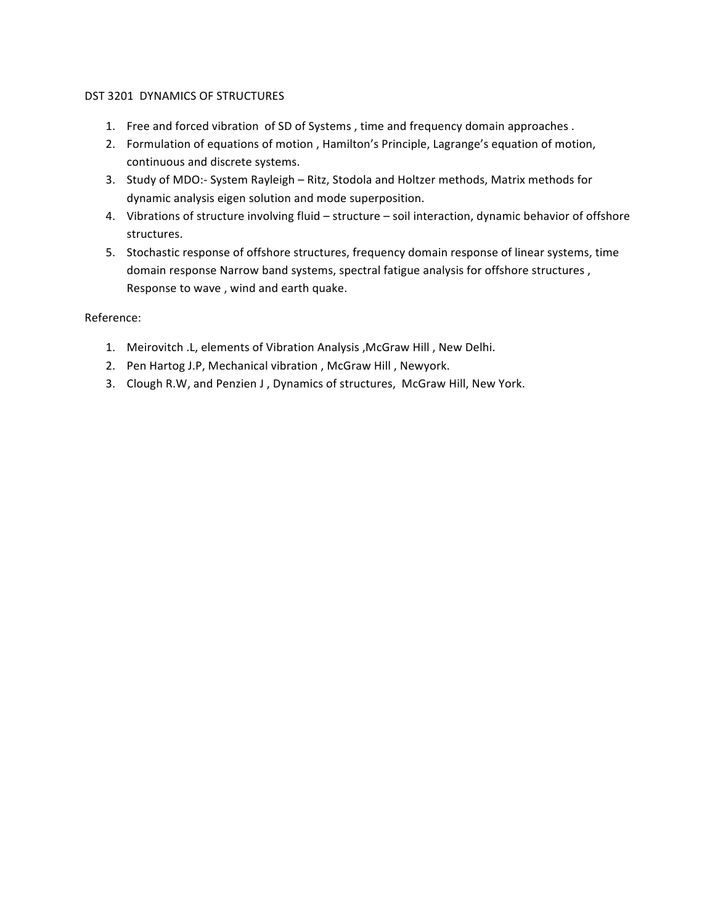# DST 3201 DYNAMICS OF STRUCTURES

- 1. Free and forced vibration of SD of Systems, time and frequency domain approaches.
- 2. Formulation of equations of motion, Hamilton's Principle, Lagrange's equation of motion, continuous and discrete systems.
- 3. Study of MDO:- System Rayleigh Ritz, Stodola and Holtzer methods, Matrix methods for dynamic analysis eigen solution and mode superposition.
- 4. Vibrations of structure involving fluid structure soil interaction, dynamic behavior of offshore structures.
- 5. Stochastic response of offshore structures, frequency domain response of linear systems, time domain response Narrow band systems, spectral fatigue analysis for offshore structures, Response to wave, wind and earth quake.

- 1. Meirovitch .L, elements of Vibration Analysis , McGraw Hill, New Delhi.
- 2. Pen Hartog J.P, Mechanical vibration, McGraw Hill, Newyork.
- 3. Clough R.W, and Penzien J, Dynamics of structures, McGraw Hill, New York.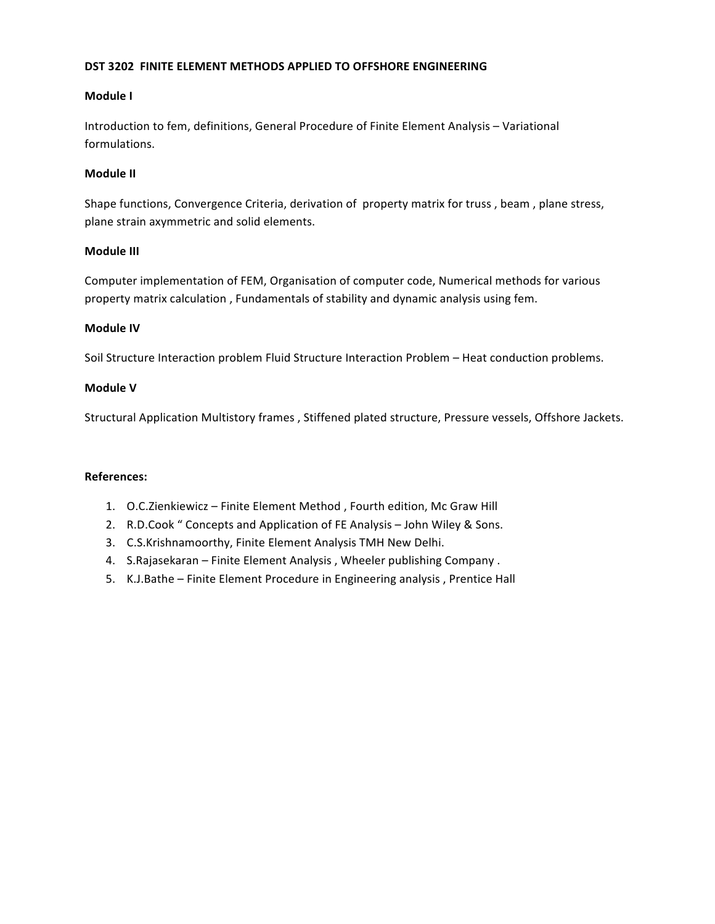# **DST 3202 FINITE ELEMENT METHODS APPLIED TO OFFSHORE ENGINEERING**

# **Module** I

Introduction to fem, definitions, General Procedure of Finite Element Analysis – Variational formulations.

# **Module II**

Shape functions, Convergence Criteria, derivation of property matrix for truss, beam, plane stress, plane strain axymmetric and solid elements.

# **Module III**

Computer implementation of FEM, Organisation of computer code, Numerical methods for various property matrix calculation, Fundamentals of stability and dynamic analysis using fem.

# **Module IV**

Soil Structure Interaction problem Fluid Structure Interaction Problem - Heat conduction problems.

# **Module V**

Structural Application Multistory frames, Stiffened plated structure, Pressure vessels, Offshore Jackets.

- 1. O.C.Zienkiewicz Finite Element Method, Fourth edition, Mc Graw Hill
- 2. R.D.Cook " Concepts and Application of FE Analysis John Wiley & Sons.
- 3. C.S.Krishnamoorthy, Finite Element Analysis TMH New Delhi.
- 4. S.Rajasekaran Finite Element Analysis, Wheeler publishing Company.
- 5. K.J.Bathe Finite Element Procedure in Engineering analysis, Prentice Hall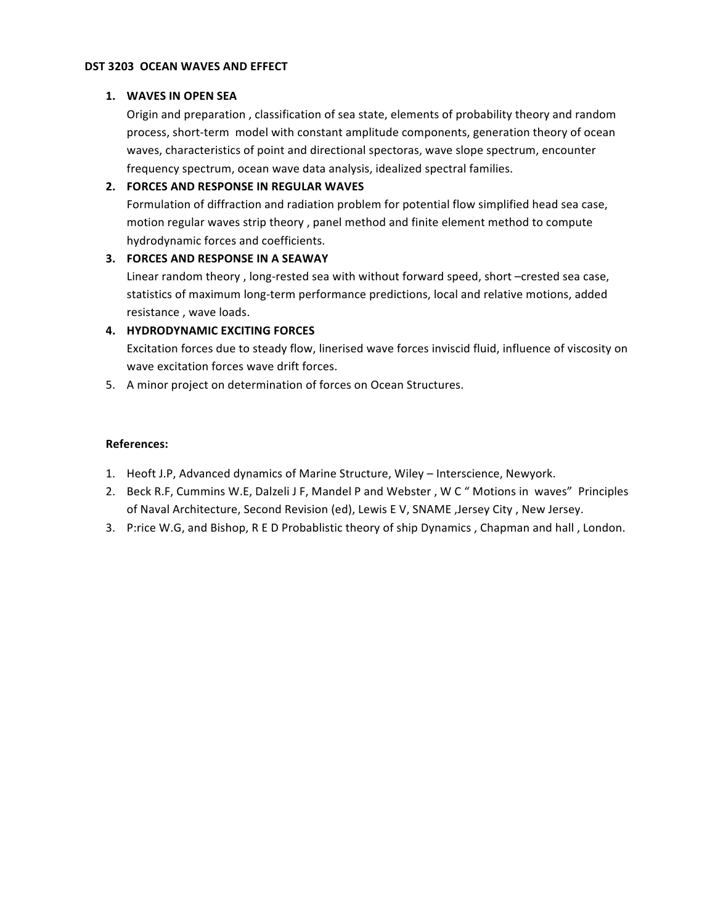## **DST 3203 OCEAN WAVES AND EFFECT**

#### 1. WAVES IN OPEN SEA

Origin and preparation, classification of sea state, elements of probability theory and random process, short-term model with constant amplitude components, generation theory of ocean waves, characteristics of point and directional spectoras, wave slope spectrum, encounter frequency spectrum, ocean wave data analysis, idealized spectral families.

## **2. FORCES AND RESPONSE IN REGULAR WAVES**

Formulation of diffraction and radiation problem for potential flow simplified head sea case, motion regular waves strip theory, panel method and finite element method to compute hydrodynamic forces and coefficients.

## **3. FORCES AND RESPONSE IN A SEAWAY**

Linear random theory, long-rested sea with without forward speed, short -crested sea case, statistics of maximum long-term performance predictions, local and relative motions, added resistance, wave loads.

# **4. HYDRODYNAMIC EXCITING FORCES**

Excitation forces due to steady flow, linerised wave forces inviscid fluid, influence of viscosity on wave excitation forces wave drift forces.

5. A minor project on determination of forces on Ocean Structures.

- 1. Heoft J.P, Advanced dynamics of Marine Structure, Wiley Interscience, Newyork.
- 2. Beck R.F, Cummins W.E, Dalzeli J F, Mandel P and Webster, W C " Motions in waves" Principles of Naval Architecture, Second Revision (ed), Lewis E V, SNAME ,Jersey City, New Jersey.
- 3. P:rice W.G, and Bishop, R E D Probablistic theory of ship Dynamics, Chapman and hall, London.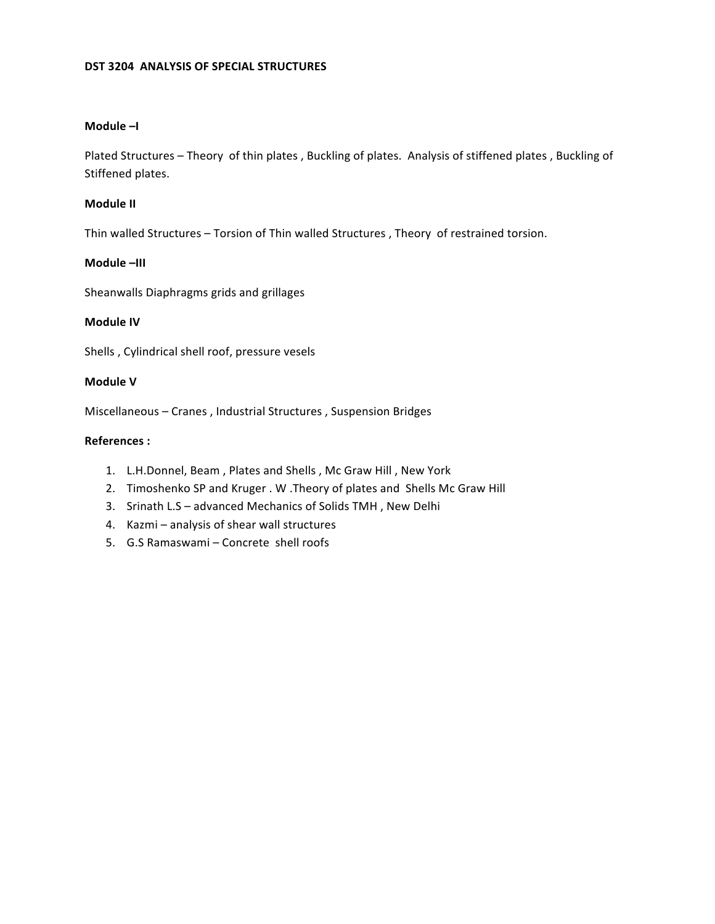# **DST 3204 ANALYSIS OF SPECIAL STRUCTURES**

## **Module –I**

Plated Structures - Theory of thin plates, Buckling of plates. Analysis of stiffened plates, Buckling of Stiffened plates.

#### **Module II**

Thin walled Structures - Torsion of Thin walled Structures , Theory of restrained torsion.

## **Module –III**

Sheanwalls Diaphragms grids and grillages

# **Module IV**

Shells, Cylindrical shell roof, pressure vesels

## **Module V**

Miscellaneous - Cranes, Industrial Structures, Suspension Bridges

- 1. L.H.Donnel, Beam, Plates and Shells, Mc Graw Hill, New York
- 2. Timoshenko SP and Kruger . W .Theory of plates and Shells Mc Graw Hill
- 3. Srinath L.S advanced Mechanics of Solids TMH, New Delhi
- 4. Kazmi analysis of shear wall structures
- 5. G.S Ramaswami Concrete shell roofs